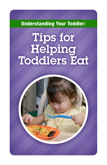Understanding Your Toddler:

# Tips for Helping Toddlers Eat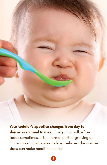**Your toddler's appetite changes from day to day or even meal to meal.** Every child will refuse foods sometimes. It is a normal part of growing up. Understanding why your toddler behaves the way he does can make mealtime easier.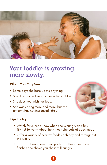

# Your toddler is growing more slowly.

#### **What You May See:**

- Some days she barely eats anything.
- She does not eat as much as other children.
- She does not finish her food.
- She was eating more and more, but the amount has not increased lately.



### **Tips to Try:**

- Watch for cues to know when she is hungry and full. Try not to worry about how much she eats at each meal.
- Offer a variety of healthy foods each day and throughout the week.
- Start by offering one small portion. Offer more if she finishes and shows you she is still hungry.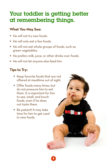# Your toddler is getting better at remembering things.

### **What You May See:**

- He will not try new foods.
- He will only eat a few foods.
- He will not eat whole groups of foods, such as green vegetables.
- He prefers milk, juice, or other drinks over foods.
- He will not let anyone else feed him.

### **Tips to Try:**

- Keep favorite foods that are not offered at mealtime out of sight.
- Offer foods many times, but do not pressure him to eat them. It is important for him to see, smell, and touch foods, even if he does not taste them.
- Be patient! It may take time for him to get used to new foods.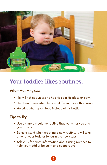

## Your toddler likes routines.

#### **What You May See:**

- He will not eat unless he has his specific plate or bowl.
- He often fusses when fed in a different place than usual.
- He cries when given food instead of his bottle.

### **Tips to Try:**

- Use a simple mealtime routine that works for you and your family.
- Be consistent when creating a new routine. It will take time for your toddler to learn the new steps.
- Ask WIC for more information about using routines to help your toddler be calm and cooperative.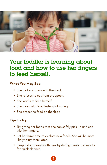

# Your toddler is learning about food and how to use her fingers to feed herself.

#### **What You May See:**

- She makes a mess with the food.
- She refuses to eat from the spoon.
- She wants to feed herself.
- She plays with food instead of eating.
- She drops the food on the floor.

### **Tips to Try:**

- Try giving her foods that she can safely pick up and eat with her fingers.
- Let her have time to explore new foods. She will be more likely to try them later.
- Keep a damp washcloth nearby during meals and snacks for quick cleanup.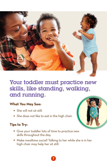

# Your toddler must practice new skills, like standing, walking, and running.

#### **What You May See:**

- She will not sit still.
- She does not like to eat in the high chair.

### **Tips to Try:**

- Give your toddler lots of time to practice new skills throughout the day.
- Make mealtime social! Talking to her while she is in her high chair may help her sit still.